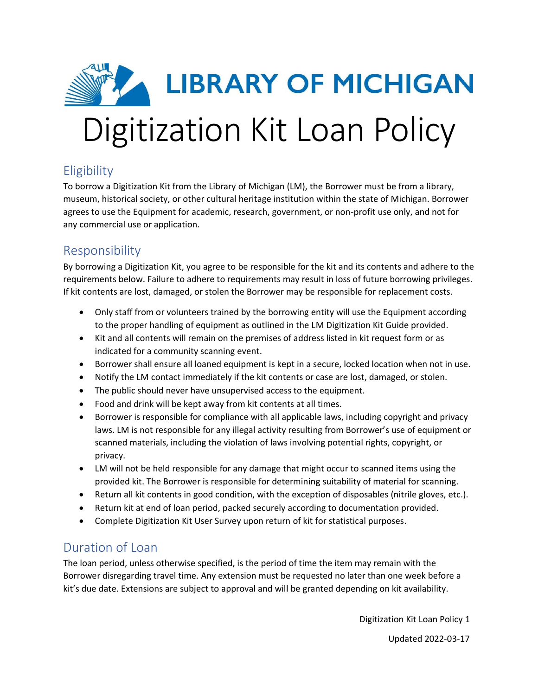

# **Eligibility**

To borrow a Digitization Kit from the Library of Michigan (LM), the Borrower must be from a library, museum, historical society, or other cultural heritage institution within the state of Michigan. Borrower agrees to use the Equipment for academic, research, government, or non-profit use only, and not for any commercial use or application.

### Responsibility

By borrowing a Digitization Kit, you agree to be responsible for the kit and its contents and adhere to the requirements below. Failure to adhere to requirements may result in loss of future borrowing privileges. If kit contents are lost, damaged, or stolen the Borrower may be responsible for replacement costs.

- Only staff from or volunteers trained by the borrowing entity will use the Equipment according to the proper handling of equipment as outlined in the LM Digitization Kit Guide provided.
- Kit and all contents will remain on the premises of address listed in kit request form or as indicated for a community scanning event.
- Borrower shall ensure all loaned equipment is kept in a secure, locked location when not in use.
- Notify the LM contact immediately if the kit contents or case are lost, damaged, or stolen.
- The public should never have unsupervised access to the equipment.
- Food and drink will be kept away from kit contents at all times.
- Borrower is responsible for compliance with all applicable laws, including copyright and privacy laws. LM is not responsible for any illegal activity resulting from Borrower's use of equipment or scanned materials, including the violation of laws involving potential rights, copyright, or privacy.
- LM will not be held responsible for any damage that might occur to scanned items using the provided kit. The Borrower is responsible for determining suitability of material for scanning.
- Return all kit contents in good condition, with the exception of disposables (nitrile gloves, etc.).
- Return kit at end of loan period, packed securely according to documentation provided.
- Complete Digitization Kit User Survey upon return of kit for statistical purposes.

#### Duration of Loan

The loan period, unless otherwise specified, is the period of time the item may remain with the Borrower disregarding travel time. Any extension must be requested no later than one week before a kit's due date. Extensions are subject to approval and will be granted depending on kit availability.

Digitization Kit Loan Policy 1

Updated 2022-03-17